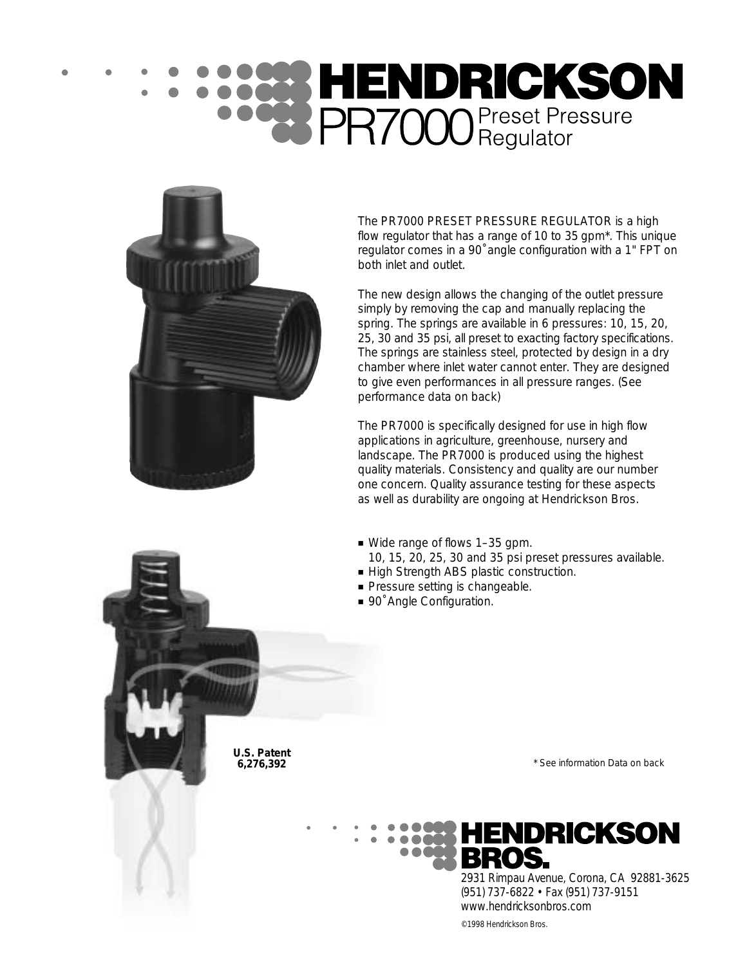# **SEE HENDRICKSON**<br>**DR7000** Preset Pressure



The PR7000 PRESET PRESSURE REGULATOR is a high flow regulator that has a range of 10 to 35 gpm\*. This unique regulator comes in a 90˚ angle configuration with a 1" FPT on both inlet and outlet.

The new design allows the changing of the outlet pressure simply by removing the cap and manually replacing the spring. The springs are available in 6 pressures: 10, 15, 20, 25, 30 and 35 psi, all preset to exacting factory specifications. The springs are stainless steel, protected by design in a dry chamber where inlet water cannot enter. They are designed to give even performances in all pressure ranges. (See performance data on back)

The PR7000 is specifically designed for use in high flow applications in agriculture, greenhouse, nursery and landscape. The PR7000 is produced using the highest quality materials. Consistency and quality are our number one concern. Quality assurance testing for these aspects as well as durability are ongoing at Hendrickson Bros.

- Wide range of flows 1–35 gpm.
	- 10, 15, 20, 25, 30 and 35 psi preset pressures available.
- High Strength ABS plastic construction.
- Pressure setting is changeable.
- 90° Angle Configuration.

**U.S. Patent 6,276,392** 

\* See information Data on back



2931 Rimpau Avenue, Corona, CA 92881-3625 (951) 737-6822 • Fax (951) 737-9151 www.hendricksonbros.com

©1998 Hendrickson Bros.